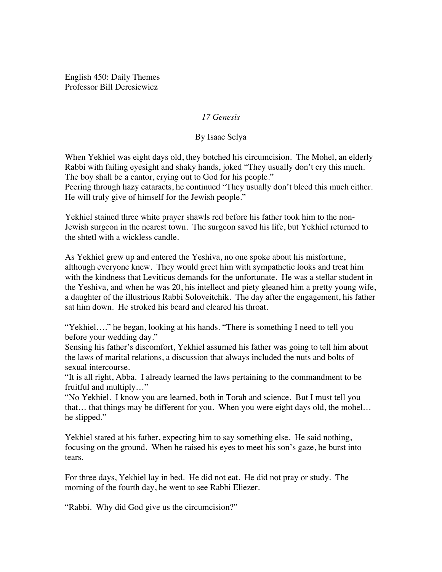English 450: Daily Themes Professor Bill Deresiewicz

## *17 Genesis*

## By Isaac Selya

When Yekhiel was eight days old, they botched his circumcision. The Mohel, an elderly Rabbi with failing eyesight and shaky hands, joked "They usually don't cry this much. The boy shall be a cantor, crying out to God for his people."

Peering through hazy cataracts, he continued "They usually don't bleed this much either. He will truly give of himself for the Jewish people."

Yekhiel stained three white prayer shawls red before his father took him to the non-Jewish surgeon in the nearest town. The surgeon saved his life, but Yekhiel returned to the shtetl with a wickless candle.

As Yekhiel grew up and entered the Yeshiva, no one spoke about his misfortune, although everyone knew. They would greet him with sympathetic looks and treat him with the kindness that Leviticus demands for the unfortunate. He was a stellar student in the Yeshiva, and when he was 20, his intellect and piety gleaned him a pretty young wife, a daughter of the illustrious Rabbi Soloveitchik. The day after the engagement, his father sat him down. He stroked his beard and cleared his throat.

"Yekhiel…." he began, looking at his hands. "There is something I need to tell you before your wedding day."

Sensing his father's discomfort, Yekhiel assumed his father was going to tell him about the laws of marital relations, a discussion that always included the nuts and bolts of sexual intercourse.

"It is all right, Abba. I already learned the laws pertaining to the commandment to be fruitful and multiply…"

"No Yekhiel. I know you are learned, both in Torah and science. But I must tell you that… that things may be different for you. When you were eight days old, the mohel… he slipped."

Yekhiel stared at his father, expecting him to say something else. He said nothing, focusing on the ground. When he raised his eyes to meet his son's gaze, he burst into tears.

For three days, Yekhiel lay in bed. He did not eat. He did not pray or study. The morning of the fourth day, he went to see Rabbi Eliezer.

"Rabbi. Why did God give us the circumcision?"